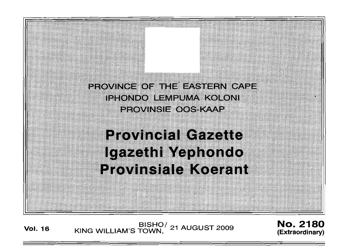PROVINCE OF THE EASTERN CAPE IPHONDO LEMPUMA KOLONI PROVINSIE OOS KAAP

# **Provincial Cazette** Igazethi Yephondo Provinsiale Koerant

BISHO<sup>/</sup> 21 AUGUST 2009 **No. 2180**<br>Extraordinary) KING WILLIAM'S TOWN, <sup>21 AUGUST 2009</sup> (Extraordinary)

**(Extraordinary)**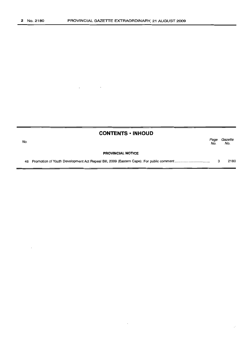|     | <b>CONTENTS • INHOUD</b> |             |                |
|-----|--------------------------|-------------|----------------|
| No. |                          | Page<br>No. | Gazette<br>No. |
|     | <b>PROVINCIAL NOTICE</b> |             |                |
|     |                          | з           | 2180           |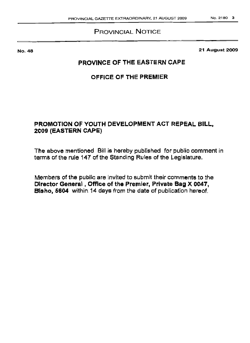### PROVINCIAL NOTICE

No. 48

21 August 2009

### PROVINCE OF THE EASTERN CAPE

### OFFICE OF THE PREMIER

### PROMOTION OF YOUTH DEVELOPMENT ACT REPEAL BILL, 2009 (EASTERN CAPE)

The above mentioned Bill is hereby published for public comment in terms of the rule 147 of the Standing Rules of the Legislature.

Members of the public are invited to submit their comments to the Oirector General, Office of the Premier, Private Bag X 0047, Bisho, 5604 within 14 days from the date of publication hereof.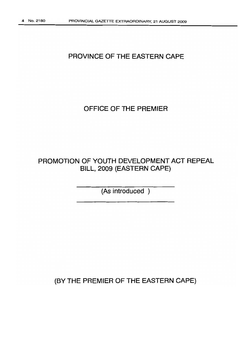# **PROVINCE OF THE EASTERN CAPE**

# **OFFICE OF THE PREMIER**

# **PROMOTION OF YOUTH DEVELOPMENT ACT REPEAL BILL, 2009 (EASTERN CAPE)**

**(As introduced )**

**(BY THE PREMIER OF THE EASTERN CAPE)**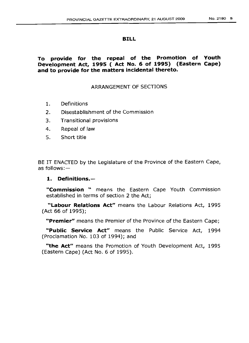#### **BILL**

#### **To provide for the repeal of the Promotion of Youth Development Act, 1995 ( Act No. 6 of 1995) (Eastern Cape) and to provide for the matters incidental thereto.**

#### ARRANGEMENT OF SECTIONS

- 1. Definitions
- 2. Disestablishment of the Commission
- 3. Transitional provisions
- 4. Repeal of law
- 5. Short title

BE IT ENACTED by the Legislature of the Province of the Eastern Cape, as follows: $-$ 

#### **1. Definitions.-**

**"Commission "** means the Eastern Cape Youth Commission established in terms of section 2 the Act;

**"Labour Relations Act"** means the Labour Relations Act, 1995 (Act 66 of 1995);

**"Premier"** means the Premier of the Province of the Eastern Cape;

**"Public Service Act"** means the Public Service Act, 1994 (Proclamation No. 103 of 1994); and

**"the Act"** means the Promotion of Youth Development Act, 1995 (Eastern Cape) (Act No. 6 of 1995).